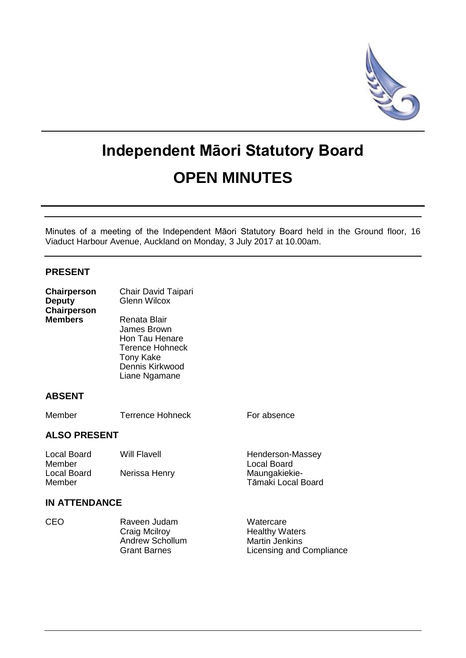

# **Independent Māori Statutory Board OPEN MINUTES**

Minutes of a meeting of the Independent Māori Statutory Board held in the Ground floor, 16 Viaduct Harbour Avenue, Auckland on Monday, 3 July 2017 at 10.00am.

# **PRESENT**

| Chairperson<br><b>Deputy</b><br>Chairperson<br><b>Members</b> | Chair David Taipari<br><b>Glenn Wilcox</b>                                                                                      |                                                                                         |
|---------------------------------------------------------------|---------------------------------------------------------------------------------------------------------------------------------|-----------------------------------------------------------------------------------------|
|                                                               | Renata Blair<br>James Brown<br>Hon Tau Henare<br><b>Terence Hohneck</b><br><b>Tony Kake</b><br>Dennis Kirkwood<br>Liane Ngamane |                                                                                         |
| <b>ABSENT</b>                                                 |                                                                                                                                 |                                                                                         |
| Member                                                        | <b>Terrence Hohneck</b>                                                                                                         | For absence                                                                             |
| <b>ALSO PRESENT</b>                                           |                                                                                                                                 |                                                                                         |
| <b>Local Board</b><br>Member                                  | Will Flavell                                                                                                                    | Henderson-Massey<br><b>Local Board</b>                                                  |
| Local Board<br>Member                                         | Nerissa Henry                                                                                                                   | Maungakiekie-<br>Tāmaki Local Board                                                     |
| <b>IN ATTENDANCE</b>                                          |                                                                                                                                 |                                                                                         |
| CEO                                                           | Raveen Judam<br>Craig Mcilroy<br><b>Andrew Schollum</b><br><b>Grant Barnes</b>                                                  | Watercare<br><b>Healthy Waters</b><br><b>Martin Jenkins</b><br>Licensing and Compliance |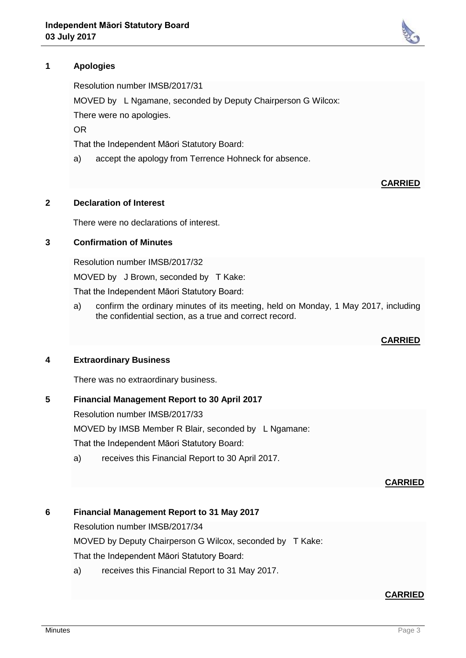

Resolution number IMSB/2017/31

MOVED by L Ngamane, seconded by Deputy Chairperson G Wilcox:

There were no apologies.

OR

That the Independent Māori Statutory Board:

a) accept the apology from Terrence Hohneck for absence.

#### **2 Declaration of Interest**

There were no declarations of interest.

### **3 Confirmation of Minutes**

Resolution number IMSB/2017/32

MOVED by J Brown, seconded by T Kake:

That the Independent Māori Statutory Board:

a) confirm the ordinary minutes of its meeting, held on Monday, 1 May 2017, including the confidential section, as a true and correct record.

## **CARRIED**

**CARRIED**

#### **4 Extraordinary Business**

There was no extraordinary business.

### **5 Financial Management Report to 30 April 2017**

Resolution number IMSB/2017/33

MOVED by IMSB Member R Blair, seconded by L Ngamane:

That the Independent Māori Statutory Board:

a) receives this Financial Report to 30 April 2017.

#### **CARRIED**

## **6 Financial Management Report to 31 May 2017**

Resolution number IMSB/2017/34

MOVED by Deputy Chairperson G Wilcox, seconded by T Kake:

That the Independent Māori Statutory Board:

a) receives this Financial Report to 31 May 2017.

## **CARRIED**

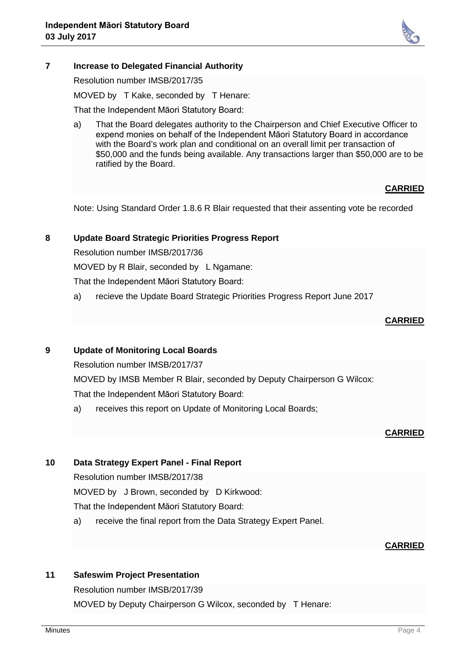

# **7 Increase to Delegated Financial Authority**

Resolution number IMSB/2017/35

MOVED by T Kake, seconded by T Henare:

That the Independent Māori Statutory Board:

a) That the Board delegates authority to the Chairperson and Chief Executive Officer to expend monies on behalf of the Independent Māori Statutory Board in accordance with the Board's work plan and conditional on an overall limit per transaction of \$50,000 and the funds being available. Any transactions larger than \$50,000 are to be ratified by the Board.

# **CARRIED**

Note: Using Standard Order 1.8.6 R Blair requested that their assenting vote be recorded

#### **8 Update Board Strategic Priorities Progress Report**

Resolution number IMSB/2017/36

MOVED by R Blair, seconded by L Ngamane:

That the Independent Māori Statutory Board:

a) recieve the Update Board Strategic Priorities Progress Report June 2017

## **CARRIED**

## **9 Update of Monitoring Local Boards**

Resolution number IMSB/2017/37

MOVED by IMSB Member R Blair, seconded by Deputy Chairperson G Wilcox: That the Independent Māori Statutory Board:

a) receives this report on Update of Monitoring Local Boards;

## **CARRIED**

# **10 Data Strategy Expert Panel - Final Report**

Resolution number IMSB/2017/38

MOVED by J Brown, seconded by D Kirkwood:

That the Independent Māori Statutory Board:

a) receive the final report from the Data Strategy Expert Panel.

## **CARRIED**

## **11 Safeswim Project Presentation**

Resolution number IMSB/2017/39 MOVED by Deputy Chairperson G Wilcox, seconded by T Henare: